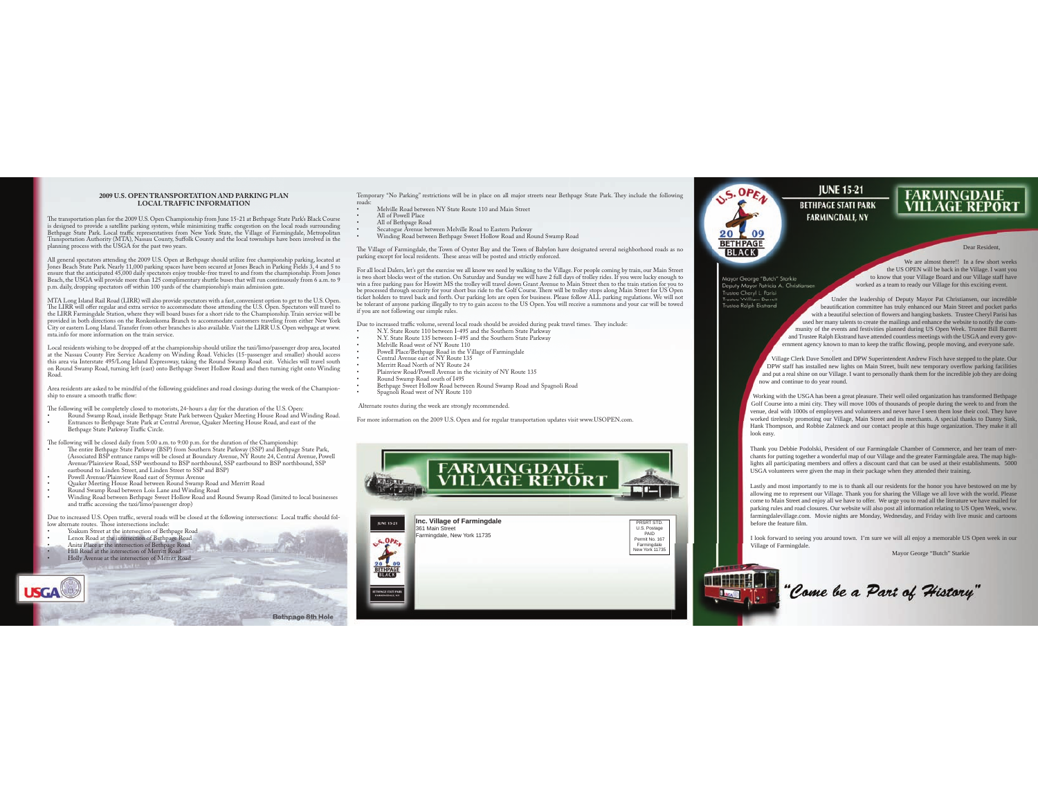## **2009 U.S. OPEN TRANSPORTATION AND PARKING PLANLOCAL TRAFFIC INFORMATION**

The transportation plan for the 2009 U.S. Open Championship from June 15-21 at Bethpage State Park's Black Course is designed to provide a satellite parking system, while minimizing traffic congestion on the local roads surrounding<br>Bethpage State Park. Local traffic representatives from New York State, the Village of Farmingdale, Metr

All general spectators attending the 2009 U.S. Open at Bethpage should utilize free championship parking, located at<br>Jones Beach State Park. Nearly 11,000 parking spaces have been secured at Jones Beach in Parking Fields 3 Beach, the USGA will provide more than 125 complimentary shuttle buses that will run continuously from 6 a.m. to 9 p.m. daily, dropping spectators off within 100 yards of the championship's main admission gate.

MTA Long Island Rail Road (LIRR) will also provide spectators with a fast, convenient option to get to the U.S. Open. The LIRR will offer regular and extra service to accommodate those attending the U.S. Open. Spectators will travel to the LIRR Farmingdale Station, where they will board buses for a short ride to the Championship. Train service will be<br>provided in both directions on the Ronkonkoma Branch to accommodate customers traveling from either New mta.info for more information on the train service.

Local residents wishing to be dropped off at the championship should utilize the taxi/limo/passenger drop area, located at the Nassau County Fire Service Academy on Winding Road. Vehicles (15-passenger and smaller) should access this area via Interstate 495/Long Island Expressway, taking the Round Swamp Road exit. Vehicles will travel south on Round Swamp Road, turning left (east) onto Bethpage Sweet Hollow Road and then turning right onto Winding Road.

Area residents are asked to be mindful of the following guidelines and road closings during the week of the Championship to ensure a smooth traffic flow:

 e following will be completely closed to motorists, 24-hours a day for the duration of the U.S. Open: t 3PVOE4XBNQ3PBE
JOTJEF#FUIQBHF4UBUF1BSLCFUXFFO2VBLFS.FFUJOH)PVTF3PBEBOE8JOEJOH3PBE t &OUSBODFTUP#FUIQBHF4UBUF1BSLBU\$FOUSBM"WFOVF
2VBLFS.FFUJOH)PVTF3PBE
BOEFBTUPGUIF Bethpage State Parkway Traffic Circle.

The following will be closed daily from 5:00 a.m. to 9:00 p.m. for the duration of the Championship:

- The entire Bethpage State Parkway (BSP) from Southern State Parkway (SSP) and Bethpage State Park,<br>(Associated BSP entrance ramps will be closed at Boundary Avenue, NY Route 24, Central Avenue, Plowell<br>Avenue/Plainview Roa eastbound to Linden Street, and Linden Street to SSP and BSP)
- Powell Avenue/Plainview Road east of Stymus Avenue
- Quaker Meeting House Road between Round Swamp Road and Merritt Road
- Round Swamp Road between Lois Lane and Winding Road
- $\bullet$  Winding Road between Bethpage Sweet Hollow Road and Round Swamp Road (limited to local businesses and traffic accessing the taxi/limo/passenger drop)

Due to increased U.S. Open traffic, several roads will be closed at the following intersections: Local traffic should follow alternate routes. Those intersections include:

- \* Yoakum Street at the intersection of Bethpage Road
- 

**USGA** 

Lenox Road at the intersection of Bethpage Road<br>Anita Place at the intersection of Bethpage Road<br>Hill Road at the intersection of Merritt Road \* Holly Avenue at the intersection of Merritt Road

Temporary "No Parking" restrictions will be in place on all major streets near Bethpage State Park. They include the following roads:

- Melville Road between NY State Route 110 and Main Street
- All of Powell Place
- 
- \* MI of Bethpage Road<br>\* Secatogue Avenue between Melville Road to Eastern Parkway<br>\* Winding Road between Bethpage Sweet Hollow Road and Round Swamp Road

 e Village of Farmingdale, the Town of Oyster Bay and the Town of Babylon have designated several neighborhood roads as no parking except for local residents. These areas will be posted and strictly enforced.

For all local Dalers, let's get the exercise we all know we need by walking to the Village. For people coming by train, our Main Street<br>is two short blocks west of the station. On Saturday and Sunday we will have 2 full da be processed through security for your short bus ride to the Golf Course. There will be trolley stops along Main Street for US Open<br>ticket holders to travel back and forth. Our parking lots are open for business. Please fo

- Due to increased traffic volume, several local roads should be avoided during peak travel times. They include:
- t N.Y. State Route 110 between I-495 and the Southern State Parkway<br>N.Y. State Route 135 between I-495 and the Southern State Parkway
- Melville Road west of NY Route 110
- Powell Place/Bethpage Road in the Village of Farmingdale<br>• Central Avenue east of NY Route 135
- Merritt Road North of NY Route 24
- Plainview Road/Powell Avenue in the vicinity of NY Route 135<br>Round Swamn Road south of 1495
- 
- t 3PVOE4XBNQ3PBETPVUIPG\* t #FUIQBHF4XFFU)PMMPX3PBECFUXFFO3PVOE4XBNQ3PBEBOE4QBHOPMJ3PBESpagnoli Road west of NY Route 110

Alternate routes during the week are strongly recommended.

For more information on the 2009 U.S. Open and for regular transportation updates visit www.USOPEN.com.





Mayor George "Butch" Starkie Deputy Mayor Patricia A. Christianse<br>Trustee Cheryl L. Parisi<br>Trustee William Barrett stee Ralph Ekstrand

mmmmm

 to know that your Village Board and our Village staff have worked as a team to ready our Village for this exciting event. Under the leadership of Deputy Mayor Pat Christiansen, our incredible beautification committee has truly enhanced our Main Street and pocket parks

with a beautiful selection of flowers and hanging baskets. Trustee Cheryl Parisi has used her many talents to create the mailings and enhance the website to notify the community of the events and festivities planned during US Open Week. Trustee Bill Barrett and Trustee Ralph Ekstrand have attended countless meetings with the USGA and every government agency known to man to keep the traffic flowing, people moving, and everyone safe.

Village Clerk Dave Smollett and DPW Superintendent Andrew Fisch have stepped to the plate. Our DPW staff has installed new lights on Main Street, built new temporary overflow parking facilities and put a real shine on our Village. I want to personally thank them for the incredible job they are doing now and continue to do year round.

Working with the USGA has been a great pleasure. Their well oiled organization has transformed Bethpage Golf Course into a mini city. They will move 100s of thousands of people during the week to and from the venue, deal with 1000s of employees and volunteers and never have I seen them lose their cool. They have worked tirelessly promoting our Village, Main Street and its merchants. A special thanks to Danny Sink, Hank Thompson, and Robbie Zalzneck and our contact people at this huge organization. They make it all look easy.

Thank you Debbie Podolski, President of our Farmingdale Chamber of Commerce, and her team of merchants for putting together a wonderful map of our Village and the greater Farmingdale area. The map highlights all participating members and offers a discount card that can be used at their establishments. 5000 USGA volunteers were given the map in their package when they attended their training.

Lastly and most importantly to me is to thank all our residents for the honor you have bestowed on me by allowing me to represent our Village. Thank you for sharing the Village we all love with the world. Please come to Main Street and enjoy all we have to offer. We urge you to read all the literature we have mailed for parking rules and road closures. Our website will also post all information relating to US Open Week, www. farmingdalevillage.com. Movie nights are Monday, Wednesday, and Friday with live music and cartoons before the feature fi lm.

I look forward to seeing you around town. I'm sure we will all enjoy a memorable US Open week in our Village of Farmingdale.

Mayor George "Butch" Starkie

"Come be a Part of History"